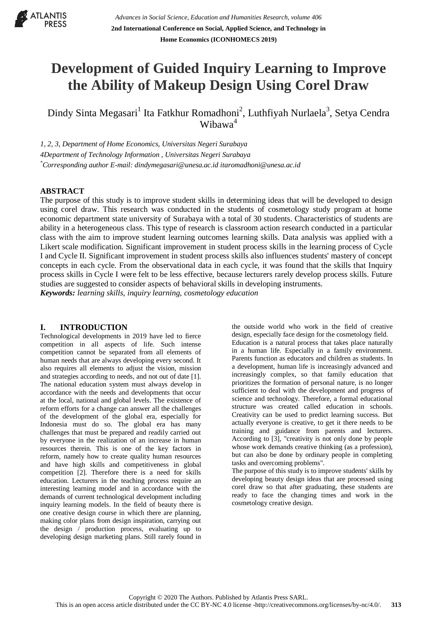

# **Development of Guided Inquiry Learning to Improve the Ability of Makeup Design Using Corel Draw**

Dindy Sinta Megasari<sup>1</sup> Ita Fatkhur Romadhoni<sup>2</sup>, Luthfiyah Nurlaela<sup>3</sup>, Setya Cendra Wibawa<sup>4</sup>

*1, 2, 3, Department of Home Economics, Universitas Negeri Surabaya 4Department of Technology Information , Universitas Negeri Surabaya \*Corresponding author E-mail[: dindymegasari@unesa.ac.id itaromadhoni@unesa.ac.id](mailto:dindymegasari@unesa.ac.id)*

## **ABSTRACT**

The purpose of this study is to improve student skills in determining ideas that will be developed to design using corel draw. This research was conducted in the students of cosmetology study program at home economic department state university of Surabaya with a total of 30 students. Characteristics of students are ability in a heterogeneous class. This type of research is classroom action research conducted in a particular class with the aim to improve student learning outcomes learning skills. Data analysis was applied with a Likert scale modification. Significant improvement in student process skills in the learning process of Cycle I and Cycle II. Significant improvement in student process skills also influences students' mastery of concept concepts in each cycle. From the observational data in each cycle, it was found that the skills that Inquiry process skills in Cycle I were felt to be less effective, because lecturers rarely develop process skills. Future studies are suggested to consider aspects of behavioral skills in developing instruments. *Keywords: learning skills, inquiry learning, cosmetology education*

#### **I. INTRODUCTION**

Technological developments in 2019 have led to fierce competition in all aspects of life. Such intense competition cannot be separated from all elements of human needs that are always developing every second. It also requires all elements to adjust the vision, mission and strategies according to needs, and not out of date [1]. The national education system must always develop in accordance with the needs and developments that occur at the local, national and global levels. The existence of reform efforts for a change can answer all the challenges of the development of the global era, especially for Indonesia must do so. The global era has many challenges that must be prepared and readily carried out by everyone in the realization of an increase in human resources therein. This is one of the key factors in reform, namely how to create quality human resources and have high skills and competitiveness in global competition [2]. Therefore there is a need for skills education. Lecturers in the teaching process require an interesting learning model and in accordance with the demands of current technological development including inquiry learning models. In the field of beauty there is one creative design course in which there are planning, making color plans from design inspiration, carrying out the design / production process, evaluating up to developing design marketing plans. Still rarely found in

the outside world who work in the field of creative design, especially face design for the cosmetology field. Education is a natural process that takes place naturally in a human life. Especially in a family environment. Parents function as educators and children as students. In a development, human life is increasingly advanced and increasingly complex, so that family education that prioritizes the formation of personal nature, is no longer sufficient to deal with the development and progress of science and technology. Therefore, a formal educational structure was created called education in schools. Creativity can be used to predict learning success. But actually everyone is creative, to get it there needs to be training and guidance from parents and lecturers. According to [3], "creativity is not only done by people whose work demands creative thinking (as a profession), but can also be done by ordinary people in completing tasks and overcoming problems".

The purpose of this study is to improve students' skills by developing beauty design ideas that are processed using corel draw so that after graduating, these students are ready to face the changing times and work in the cosmetology creative design.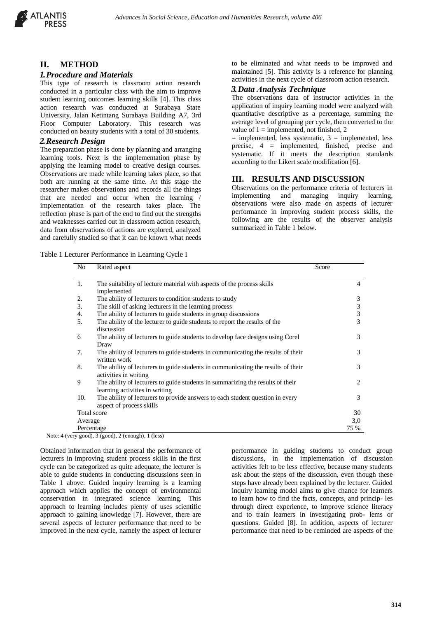

## **II. METHOD**

#### *1.Procedure and Materials*

This type of research is classroom action research conducted in a particular class with the aim to improve student learning outcomes learning skills [4]. This class action research was conducted at Surabaya State University, Jalan Ketintang Surabaya Building A7, 3rd Floor Computer Laboratory. This research was conducted on beauty students with a total of 30 students.

#### *2.Research Design*

The preparation phase is done by planning and arranging learning tools. Next is the implementation phase by applying the learning model to creative design courses. Observations are made while learning takes place, so that both are running at the same time. At this stage the researcher makes observations and records all the things that are needed and occur when the learning / implementation of the research takes place. The reflection phase is part of the end to find out the strengths and weaknesses carried out in classroom action research, data from observations of actions are explored, analyzed and carefully studied so that it can be known what needs

Table 1 Lecturer Performance in Learning Cycle I

to be eliminated and what needs to be improved and maintained [5]. This activity is a reference for planning activities in the next cycle of classroom action research.

### *3.Data Analysis Technique*

The observations data of instructor activities in the application of inquiry learning model were analyzed with quantitative descriptive as a percentage, summing the average level of grouping per cycle, then converted to the value of  $1 =$  implemented, not finished, 2

 $=$  implemented, less systematic,  $3 =$  implemented, less precise, 4 = implemented, finished, precise and systematic. If it meets the description standards according to the Likert scale modification [6].

#### **III. RESULTS AND DISCUSSION**

Observations on the performance criteria of lecturers in implementing and managing inquiry learning, observations were also made on aspects of lecturer performance in improving student process skills, the following are the results of the observer analysis summarized in Table 1 below.

| N <sub>0</sub> | Rated aspect                                                                                                     | Score         |  |
|----------------|------------------------------------------------------------------------------------------------------------------|---------------|--|
| 1.             | The suitability of lecture material with aspects of the process skills<br>implemented                            | 4             |  |
| 2.             | The ability of lecturers to condition students to study                                                          | 3             |  |
| 3.             | The skill of asking lecturers in the learning process                                                            |               |  |
| 4.             | The ability of lecturers to guide students in group discussions                                                  | $\frac{3}{3}$ |  |
| 5.             | The ability of the lecturer to guide students to report the results of the<br>discussion                         | 3             |  |
| 6              | The ability of lecturers to guide students to develop face designs using Corel<br>Draw                           | 3             |  |
| 7.             | The ability of lecturers to guide students in communicating the results of their<br>written work                 | 3             |  |
| 8.             | The ability of lecturers to guide students in communicating the results of their<br>activities in writing        | 3             |  |
| 9              | The ability of lecturers to guide students in summarizing the results of their<br>learning activities in writing | 2             |  |
| 10.            | The ability of lecturers to provide answers to each student question in every<br>aspect of process skills        | 3             |  |
|                | Total score                                                                                                      | 30            |  |
| Average        |                                                                                                                  | 3,0           |  |
|                | Percentage                                                                                                       | 75 %          |  |

Note: 4 (very good), 3 (good), 2 (enough), 1 (less)

Obtained information that in general the performance of lecturers in improving student process skills in the first cycle can be categorized as quite adequate, the lecturer is able to guide students in conducting discussions seen in Table 1 above. Guided inquiry learning is a learning approach which applies the concept of environmental conservation in integrated science learning. This approach to learning includes plenty of uses scientific approach to gaining knowledge [7]. However, there are several aspects of lecturer performance that need to be improved in the next cycle, namely the aspect of lecturer

performance in guiding students to conduct group discussions, in the implementation of discussion activities felt to be less effective, because many students ask about the steps of the discussion, even though these steps have already been explained by the lecturer. Guided inquiry learning model aims to give chance for learners to learn how to find the facts, concepts, and princip- les through direct experience, to improve science literacy and to train learners in investigating prob- lems or questions. Guided [8]. In addition, aspects of lecturer performance that need to be reminded are aspects of the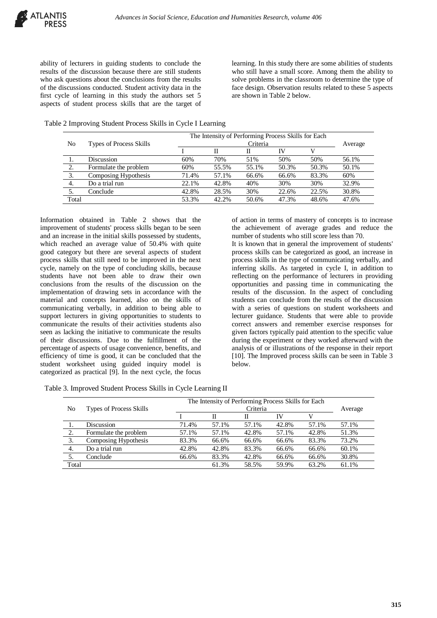ability of lecturers in guiding students to conclude the results of the discussion because there are still students who ask questions about the conclusions from the results of the discussions conducted. Student activity data in the first cycle of learning in this study the authors set 5 aspects of student process skills that are the target of learning. In this study there are some abilities of students who still have a small score. Among them the ability to solve problems in the classroom to determine the type of face design. Observation results related to these 5 aspects are shown in Table 2 below.

|  | Table 2 Improving Student Process Skills in Cycle I Learning |  |  |
|--|--------------------------------------------------------------|--|--|
|  |                                                              |  |  |

|       | <b>Types of Process Skills</b> | The Intensity of Performing Process Skills for Each |          |       |       |       |       |
|-------|--------------------------------|-----------------------------------------------------|----------|-------|-------|-------|-------|
| No    |                                |                                                     | Criteria |       |       |       |       |
|       |                                |                                                     |          | П     | IV    |       |       |
|       | <b>Discussion</b>              | 60%                                                 | 70%      | 51%   | 50%   | 50%   | 56.1% |
| 2.    | Formulate the problem          | 60%                                                 | 55.5%    | 55.1% | 50.3% | 50.3% | 50.1% |
| 3.    | Composing Hypothesis           | 71.4%                                               | 57.1%    | 66.6% | 66.6% | 83.3% | 60%   |
| 4.    | Do a trial run                 | 22.1%                                               | 42.8%    | 40%   | 30%   | 30%   | 32.9% |
| 5.    | Conclude                       | 42.8%                                               | 28.5%    | 30%   | 22.6% | 22.5% | 30.8% |
| Total |                                | 53.3%                                               | 42.2%    | 50.6% | 47.3% | 48.6% | 47.6% |

Information obtained in Table 2 shows that the improvement of students' process skills began to be seen and an increase in the initial skills possessed by students, which reached an average value of 50.4% with quite good category but there are several aspects of student process skills that still need to be improved in the next cycle, namely on the type of concluding skills, because students have not been able to draw their own conclusions from the results of the discussion on the implementation of drawing sets in accordance with the material and concepts learned, also on the skills of communicating verbally, in addition to being able to support lecturers in giving opportunities to students to communicate the results of their activities students also seen as lacking the initiative to communicate the results of their discussions. Due to the fulfillment of the percentage of aspects of usage convenience, benefits, and efficiency of time is good, it can be concluded that the student worksheet using guided inquiry model is categorized as practical [9]. In the next cycle, the focus

of action in terms of mastery of concepts is to increase the achievement of average grades and reduce the number of students who still score less than 70.

It is known that in general the improvement of students' process skills can be categorized as good, an increase in process skills in the type of communicating verbally, and inferring skills. As targeted in cycle I, in addition to reflecting on the performance of lecturers in providing opportunities and passing time in communicating the results of the discussion. In the aspect of concluding students can conclude from the results of the discussion with a series of questions on student worksheets and lecturer guidance. Students that were able to provide correct answers and remember exercise responses for given factors typically paid attention to the specific value during the experiment or they worked afterward with the analysis of or illustrations of the response in their report [10]. The Improved process skills can be seen in Table 3 below.

| No    | <b>Types of Process Skills</b> | The Intensity of Performing Process Skills for Each<br>Criteria |       |       |       |       | Average |
|-------|--------------------------------|-----------------------------------------------------------------|-------|-------|-------|-------|---------|
|       |                                |                                                                 | П     | П     | IV    | V     |         |
|       | <b>Discussion</b>              | 71.4%                                                           | 57.1% | 57.1% | 42.8% | 57.1% | 57.1%   |
| 2.    | Formulate the problem          | 57.1%                                                           | 57.1% | 42.8% | 57.1% | 42.8% | 51.3%   |
| 3.    | Composing Hypothesis           | 83.3%                                                           | 66.6% | 66.6% | 66.6% | 83.3% | 73.2%   |
| 4.    | Do a trial run                 | 42.8%                                                           | 42.8% | 83.3% | 66.6% | 66.6% | 60.1%   |
| .5.   | Conclude                       | 66.6%                                                           | 83.3% | 42.8% | 66.6% | 66.6% | 30.8%   |
| Total |                                |                                                                 | 61.3% | 58.5% | 59.9% | 63.2% | 61.1%   |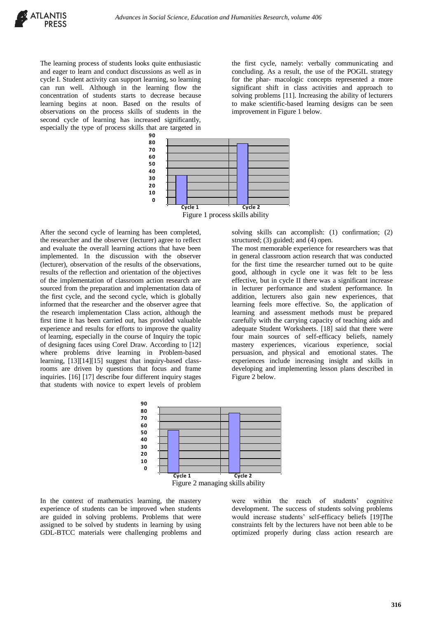The learning process of students looks quite enthusiastic and eager to learn and conduct discussions as well as in cycle I. Student activity can support learning, so learning can run well. Although in the learning flow the concentration of students starts to decrease because learning begins at noon. Based on the results of observations on the process skills of students in the second cycle of learning has increased significantly, especially the type of process skills that are targeted in

the first cycle, namely: verbally communicating and concluding. As a result, the use of the POGIL strategy for the phar- macologic concepts represented a more significant shift in class activities and approach to solving problems [11]. Increasing the ability of lecturers to make scientific-based learning designs can be seen improvement in Figure 1 below.



After the second cycle of learning has been completed, the researcher and the observer (lecturer) agree to reflect and evaluate the overall learning actions that have been implemented. In the discussion with the observer (lecturer), observation of the results of the observations, results of the reflection and orientation of the objectives of the implementation of classroom action research are sourced from the preparation and implementation data of the first cycle, and the second cycle, which is globally informed that the researcher and the observer agree that the research implementation Class action, although the first time it has been carried out, has provided valuable experience and results for efforts to improve the quality of learning, especially in the course of Inquiry the topic of designing faces using Corel Draw. According to [12] where problems drive learning in Problem-based learning, [13][14][15] suggest that inquiry-based classrooms are driven by questions that focus and frame inquiries. [16] [17] describe four different inquiry stages that students with novice to expert levels of problem

solving skills can accomplish: (1) confirmation; (2) structured; (3) guided; and (4) open.

The most memorable experience for researchers was that in general classroom action research that was conducted for the first time the researcher turned out to be quite good, although in cycle one it was felt to be less effective, but in cycle II there was a significant increase in lecturer performance and student performance. In addition, lecturers also gain new experiences, that learning feels more effective. So, the application of learning and assessment methods must be prepared carefully with the carrying capacity of teaching aids and adequate Student Worksheets. [18] said that there were four main sources of self-efficacy beliefs, namely mastery experiences, vicarious experience, social persuasion, and physical and emotional states. The experiences include increasing insight and skills in developing and implementing lesson plans described in Figure 2 below.



In the context of mathematics learning, the mastery experience of students can be improved when students are guided in solving problems. Problems that were assigned to be solved by students in learning by using GDL-BTCC materials were challenging problems and were within the reach of students' cognitive development. The success of students solving problems would increase students' self-efficacy beliefs [19]The constraints felt by the lecturers have not been able to be optimized properly during class action research are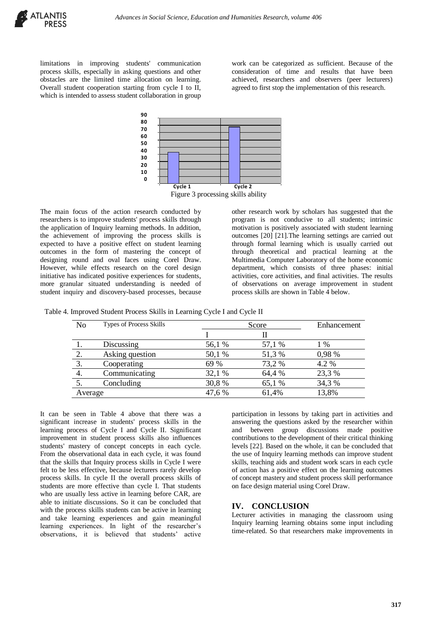limitations in improving students' communication process skills, especially in asking questions and other obstacles are the limited time allocation on learning. Overall student cooperation starting from cycle I to II, which is intended to assess student collaboration in group work can be categorized as sufficient. Because of the consideration of time and results that have been achieved, researchers and observers (peer lecturers) agreed to first stop the implementation of this research.



The main focus of the action research conducted by researchers is to improve students' process skills through the application of Inquiry learning methods. In addition, the achievement of improving the process skills is expected to have a positive effect on student learning outcomes in the form of mastering the concept of designing round and oval faces using Corel Draw. However, while effects research on the corel design initiative has indicated positive experiences for students, more granular situated understanding is needed of student inquiry and discovery-based processes, because other research work by scholars has suggested that the program is not conducive to all students; intrinsic motivation is positively associated with student learning outcomes [20] [21].The learning settings are carried out through formal learning which is usually carried out through theoretical and practical learning at the Multimedia Computer Laboratory of the home economic department, which consists of three phases: initial activities, core activities, and final activities. The results of observations on average improvement in student process skills are shown in Table 4 below.

| Table 4. Improved Student Process Skills in Learning Cycle I and Cycle II |  |  |  |
|---------------------------------------------------------------------------|--|--|--|
|                                                                           |  |  |  |

| N <sub>0</sub> | <b>Types of Process Skills</b> |        | Enhancement |        |
|----------------|--------------------------------|--------|-------------|--------|
|                |                                |        |             |        |
|                | Discussing                     | 56,1 % | 57,1 %      | 1 %    |
| 2.             | Asking question                | 50,1 % | 51,3 %      | 0,98 % |
| 3.             | Cooperating                    | 69 %   | 73,2 %      | 4.2 %  |
|                | Communicating                  | 32,1 % | 64,4 %      | 23,3 % |
|                | Concluding                     | 30,8%  | 65,1 %      | 34,3 % |
| Average        |                                | 47,6 % | 61,4%       | 13,8%  |

It can be seen in Table 4 above that there was a significant increase in students' process skills in the learning process of Cycle I and Cycle II. Significant improvement in student process skills also influences students' mastery of concept concepts in each cycle. From the observational data in each cycle, it was found that the skills that Inquiry process skills in Cycle I were felt to be less effective, because lecturers rarely develop process skills. In cycle II the overall process skills of students are more effective than cycle I. That students who are usually less active in learning before CAR, are able to initiate discussions. So it can be concluded that with the process skills students can be active in learning and take learning experiences and gain meaningful learning experiences. In light of the researcher's observations, it is believed that students' active

participation in lessons by taking part in activities and answering the questions asked by the researcher within and between group discussions made positive contributions to the development of their critical thinking levels [22]. Based on the whole, it can be concluded that the use of Inquiry learning methods can improve student skills, teaching aids and student work scars in each cycle of action has a positive effect on the learning outcomes of concept mastery and student process skill performance on face design material using Corel Draw.

## **IV. CONCLUSION**

Lecturer activities in managing the classroom using Inquiry learning learning obtains some input including time-related. So that researchers make improvements in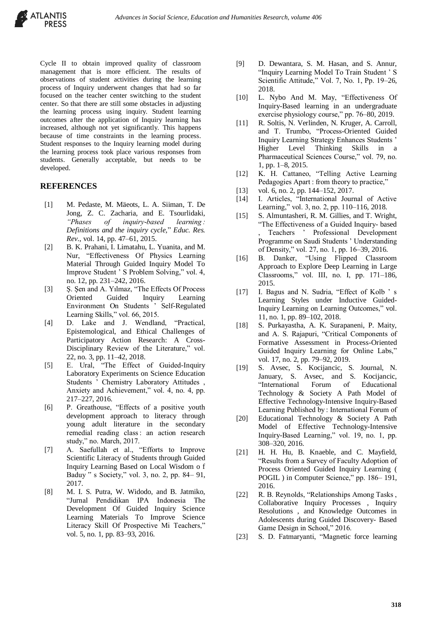Cycle II to obtain improved quality of classroom management that is more efficient. The results of observations of student activities during the learning process of Inquiry underwent changes that had so far focused on the teacher center switching to the student center. So that there are still some obstacles in adjusting the learning process using inquiry. Student learning outcomes after the application of Inquiry learning has increased, although not yet significantly. This happens because of time constraints in the learning process. Student responses to the Inquiry learning model during the learning process took place various responses from students. Generally acceptable, but needs to be developed.

#### **REFERENCES**

- [1] M. Pedaste, M. Mäeots, L. A. Siiman, T. De Jong, Z. C. Zacharia, and E. Tsourlidaki, *"Phases of inquiry-based learning : Definitions and the inquiry cycle,*" *Educ. Res. Rev.*, vol. 14, pp. 47–61, 2015.
- [2] B. K. Prahani, I. Limatahu, L. Yuanita, and M. Nur, "Effectiveness Of Physics Learning Material Through Guided Inquiry Model To Improve Student ' S Problem Solving," vol. 4, no. 12, pp. 231–242, 2016.
- [3] S. Şen and A. Yılmaz, "The Effects Of Process Oriented Guided Inquiry Learning Environment On Students ' Self-Regulated Learning Skills," vol. 66, 2015.
- [4] D. Lake and J. Wendland, "Practical, Epistemological, and Ethical Challenges of Participatory Action Research: A Cross-Disciplinary Review of the Literature," vol. 22, no. 3, pp. 11–42, 2018.
- [5] E. Ural, "The Effect of Guided-Inquiry Laboratory Experiments on Science Education Students ' Chemistry Laboratory Attitudes , Anxiety and Achievement," vol. 4, no. 4, pp. 217–227, 2016.
- [6] P. Greathouse, "Effects of a positive youth development approach to literacy through young adult literature in the secondary remedial reading class : an action research study," no. March, 2017.
- [7] A. Saefullah et al., "Efforts to Improve Scientific Literacy of Students through Guided Inquiry Learning Based on Local Wisdom o f Baduy " s Society," vol. 3, no. 2, pp. 84– 91, 2017.
- [8] M. I. S. Putra, W. Widodo, and B. Jatmiko, "Jurnal Pendidikan IPA Indonesia The Development Of Guided Inquiry Science Learning Materials To Improve Science Literacy Skill Of Prospective Mi Teachers," vol. 5, no. 1, pp. 83–93, 2016.
- [9] D. Dewantara, S. M. Hasan, and S. Annur, "Inquiry Learning Model To Train Student ' S Scientific Attitude," Vol. 7, No. 1, Pp. 19–26, 2018.
- [10] L. Nybo And M. May, "Effectiveness Of Inquiry-Based learning in an undergraduate exercise physiology course," pp. 76–80, 2019.
- [11] R. Soltis, N. Verlinden, N. Kruger, A. Carroll, and T. Trumbo, "Process-Oriented Guided Inquiry Learning Strategy Enhances Students ' Higher Level Thinking Skills in a Pharmaceutical Sciences Course," vol. 79, no. 1, pp. 1–8, 2015.
- [12] K. H. Cattaneo, "Telling Active Learning Pedagogies Apart : from theory to practice,"
- [13] vol. 6, no. 2, pp. 144–152, 2017.
- [14] I. Articles, "International Journal of Active Learning," vol. 3, no. 2, pp. 110–116, 2018.
- [15] S. Almuntasheri, R. M. Gillies, and T. Wright, "The Effectiveness of a Guided Inquiry- based , Teachers ' Professional Development Programme on Saudi Students ' Understanding of Density," vol. 27, no. 1, pp. 16–39, 2016.
- [16] B. Danker, "Using Flipped Classroom Approach to Explore Deep Learning in Large Classrooms," vol. III, no. I, pp. 171–186, 2015.
- [17] I. Bagus and N. Sudria, "Effect of Kolb ' s Learning Styles under Inductive Guided-Inquiry Learning on Learning Outcomes," vol. 11, no. 1, pp. 89–102, 2018.
- [18] S. Purkayastha, A. K. Surapaneni, P. Maity, and A. S. Rajapuri, "Critical Components of Formative Assessment in Process-Oriented Guided Inquiry Learning for Online Labs," vol. 17, no. 2, pp. 79–92, 2019.
- [19] S. Avsec, S. Kocijancic, S. Journal, N. January, S. Avsec, and S. Kocijancic, "International Forum of Educational Technology & Society A Path Model of Effective Technology-Intensive Inquiry-Based Learning Published by : International Forum of
- [20] Educational Technology & Society A Path Model of Effective Technology-Intensive Inquiry-Based Learning," vol. 19, no. 1, pp. 308–320, 2016.
- [21] H. H. Hu, B. Knaeble, and C. Mayfield, "Results from a Survey of Faculty Adoption of Process Oriented Guided Inquiry Learning ( POGIL ) in Computer Science," pp. 186– 191, 2016.
- [22] R. B. Reynolds, "Relationships Among Tasks , Collaborative Inquiry Processes , Inquiry Resolutions , and Knowledge Outcomes in Adolescents during Guided Discovery- Based Game Design in School," 2016.
- [23] S. D. Fatmaryanti, "Magnetic force learning